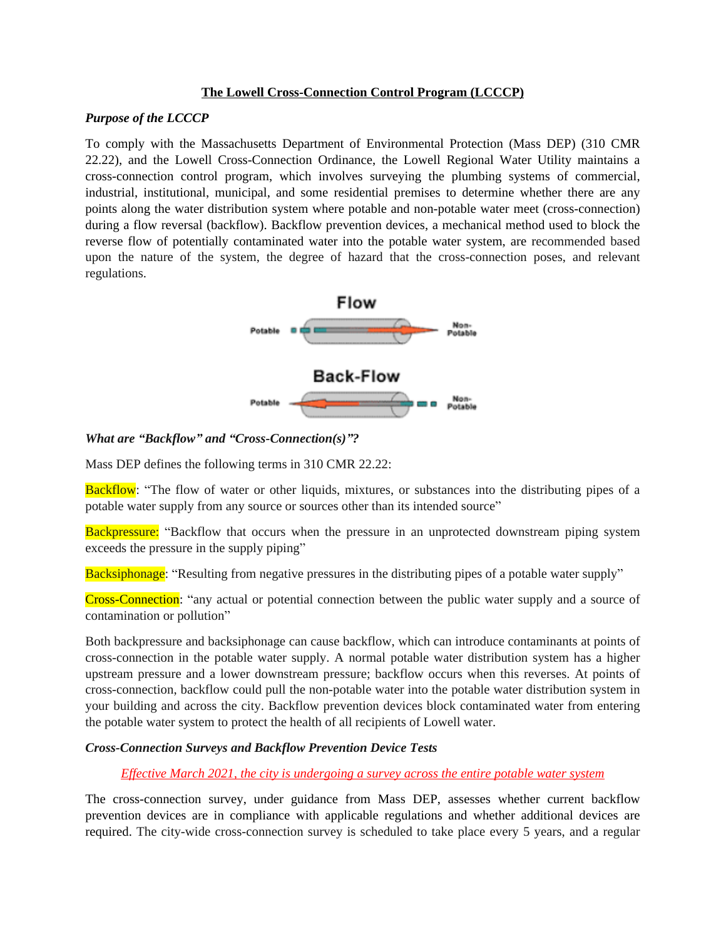### **The Lowell Cross-Connection Control Program (LCCCP)**

#### *Purpose of the LCCCP*

To comply with the Massachusetts Department of Environmental Protection (Mass DEP) (310 CMR 22.22), and the Lowell Cross-Connection Ordinance, the Lowell Regional Water Utility maintains a cross-connection control program, which involves surveying the plumbing systems of commercial, industrial, institutional, municipal, and some residential premises to determine whether there are any points along the water distribution system where potable and non-potable water meet (cross-connection) during a flow reversal (backflow). Backflow prevention devices, a mechanical method used to block the reverse flow of potentially contaminated water into the potable water system, are recommended based upon the nature of the system, the degree of hazard that the cross-connection poses, and relevant regulations.



*What are "Backflow" and "Cross-Connection(s)"?*

Mass DEP defines the following terms in 310 CMR 22.22:

Backflow: "The flow of water or other liquids, mixtures, or substances into the distributing pipes of a potable water supply from any source or sources other than its intended source"

**Backpressure:** "Backflow that occurs when the pressure in an unprotected downstream piping system exceeds the pressure in the supply piping"

Backsiphonage: "Resulting from negative pressures in the distributing pipes of a potable water supply"

Cross-Connection: "any actual or potential connection between the public water supply and a source of contamination or pollution"

Both backpressure and backsiphonage can cause backflow, which can introduce contaminants at points of cross-connection in the potable water supply. A normal potable water distribution system has a higher upstream pressure and a lower downstream pressure; backflow occurs when this reverses. At points of cross-connection, backflow could pull the non-potable water into the potable water distribution system in your building and across the city. Backflow prevention devices block contaminated water from entering the potable water system to protect the health of all recipients of Lowell water.

### *Cross-Connection Surveys and Backflow Prevention Device Tests*

#### *Effective March 2021, the city is undergoing a survey across the entire potable water system*

The cross-connection survey, under guidance from Mass DEP, assesses whether current backflow prevention devices are in compliance with applicable regulations and whether additional devices are required. The city-wide cross-connection survey is scheduled to take place every 5 years, and a regular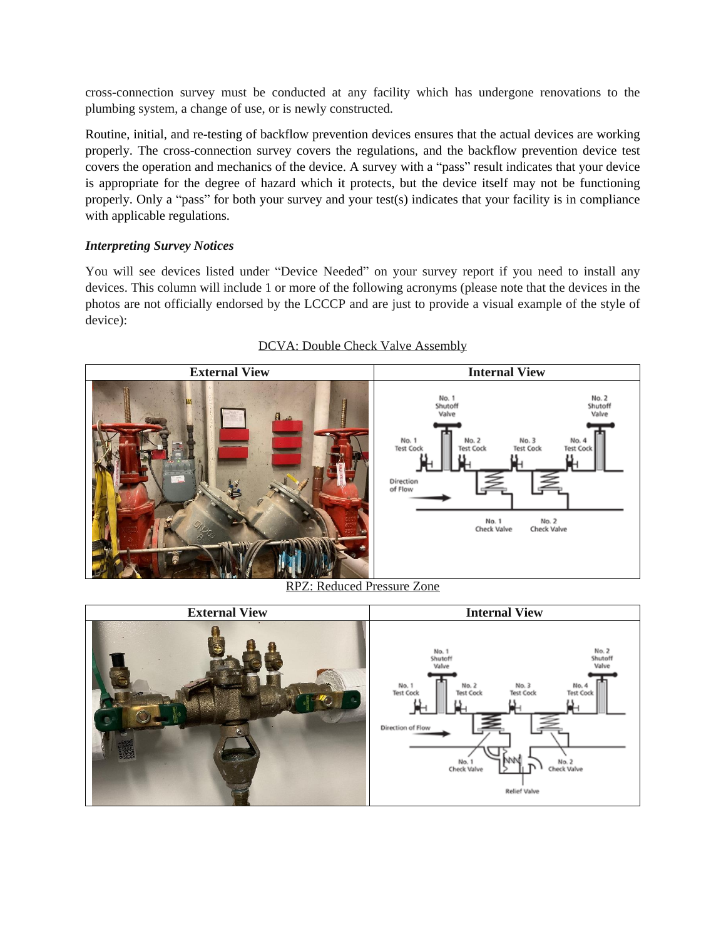cross-connection survey must be conducted at any facility which has undergone renovations to the plumbing system, a change of use, or is newly constructed.

Routine, initial, and re-testing of backflow prevention devices ensures that the actual devices are working properly. The cross-connection survey covers the regulations, and the backflow prevention device test covers the operation and mechanics of the device. A survey with a "pass" result indicates that your device is appropriate for the degree of hazard which it protects, but the device itself may not be functioning properly. Only a "pass" for both your survey and your test(s) indicates that your facility is in compliance with applicable regulations.

# *Interpreting Survey Notices*

You will see devices listed under "Device Needed" on your survey report if you need to install any devices. This column will include 1 or more of the following acronyms (please note that the devices in the photos are not officially endorsed by the LCCCP and are just to provide a visual example of the style of device):



# DCVA: Double Check Valve Assembly

RPZ: Reduced Pressure Zone

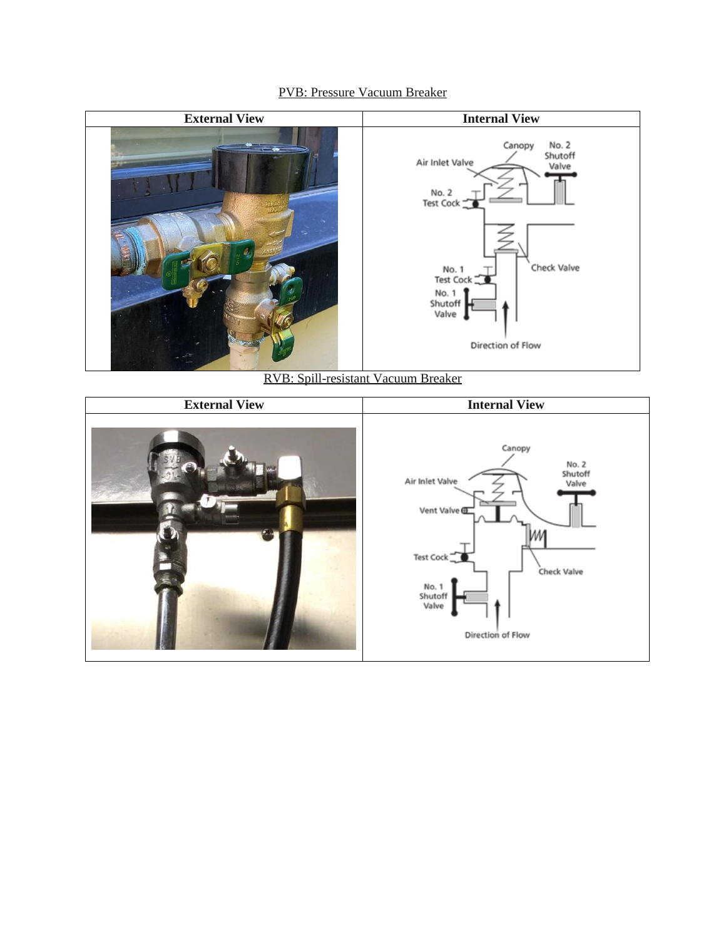# PVB: Pressure Vacuum Breaker



RVB: Spill-resistant Vacuum Breaker